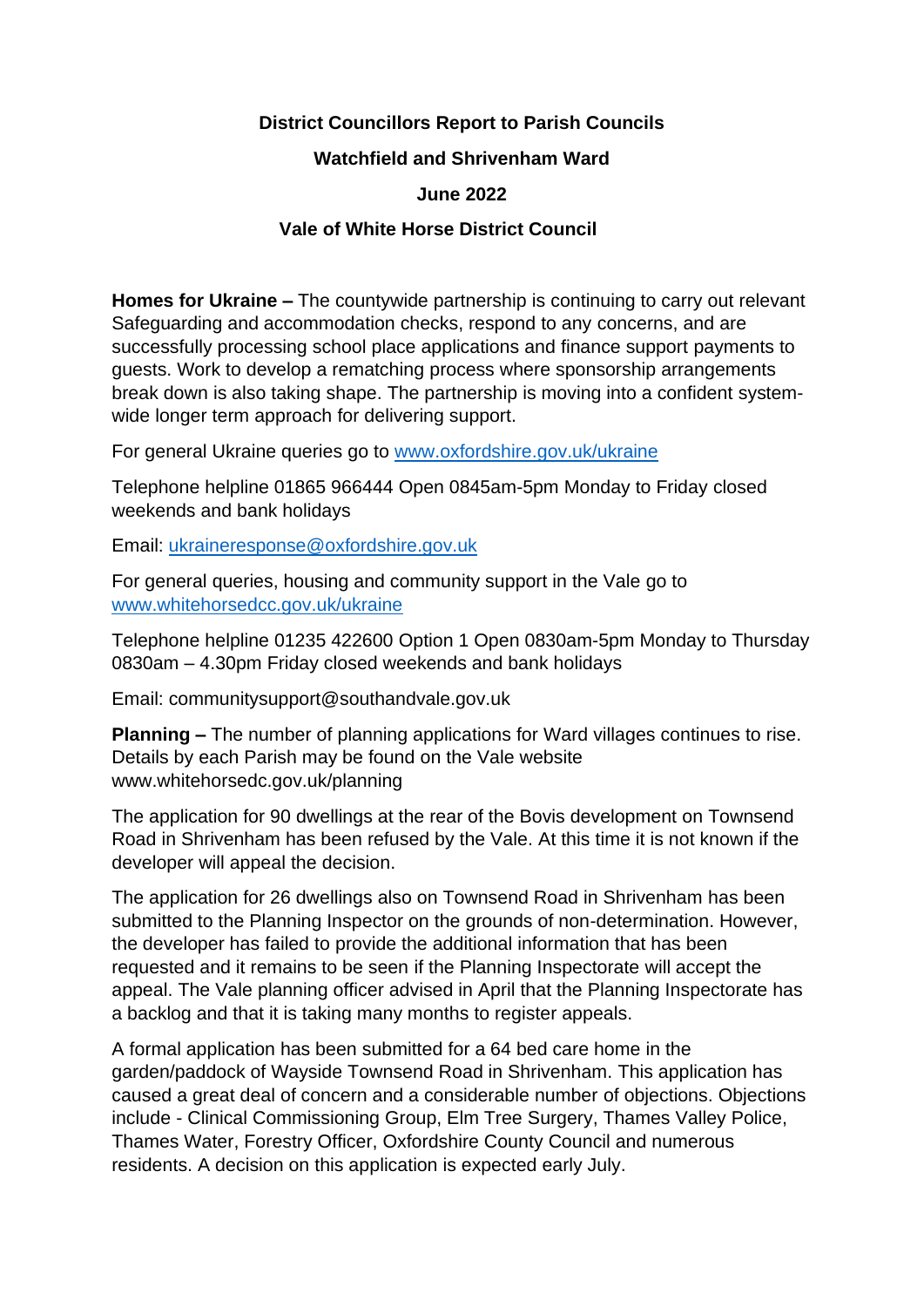# **District Councillors Report to Parish Councils**

## **Watchfield and Shrivenham Ward**

## **June 2022**

## **Vale of White Horse District Council**

**Homes for Ukraine –** The countywide partnership is continuing to carry out relevant Safeguarding and accommodation checks, respond to any concerns, and are successfully processing school place applications and finance support payments to guests. Work to develop a rematching process where sponsorship arrangements break down is also taking shape. The partnership is moving into a confident systemwide longer term approach for delivering support.

For general Ukraine queries go to [www.oxfordshire.gov.uk/ukraine](http://www.oxfordshire.gov.uk/ukraine)

Telephone helpline 01865 966444 Open 0845am-5pm Monday to Friday closed weekends and bank holidays

Email: [ukraineresponse@oxfordshire.gov.uk](mailto:ukraineresponse@oxfordshire.gov.uk)

For general queries, housing and community support in the Vale go to [www.whitehorsedcc.gov.uk/ukraine](http://www.whitehorsedcc.gov.uk/ukraine)

Telephone helpline 01235 422600 Option 1 Open 0830am-5pm Monday to Thursday 0830am – 4.30pm Friday closed weekends and bank holidays

Email: communitysupport@southandvale.gov.uk

**Planning –** The number of planning applications for Ward villages continues to rise. Details by each Parish may be found on the Vale website www.whitehorsedc.gov.uk/planning

The application for 90 dwellings at the rear of the Bovis development on Townsend Road in Shrivenham has been refused by the Vale. At this time it is not known if the developer will appeal the decision.

The application for 26 dwellings also on Townsend Road in Shrivenham has been submitted to the Planning Inspector on the grounds of non-determination. However, the developer has failed to provide the additional information that has been requested and it remains to be seen if the Planning Inspectorate will accept the appeal. The Vale planning officer advised in April that the Planning Inspectorate has a backlog and that it is taking many months to register appeals.

A formal application has been submitted for a 64 bed care home in the garden/paddock of Wayside Townsend Road in Shrivenham. This application has caused a great deal of concern and a considerable number of objections. Objections include - Clinical Commissioning Group, Elm Tree Surgery, Thames Valley Police, Thames Water, Forestry Officer, Oxfordshire County Council and numerous residents. A decision on this application is expected early July.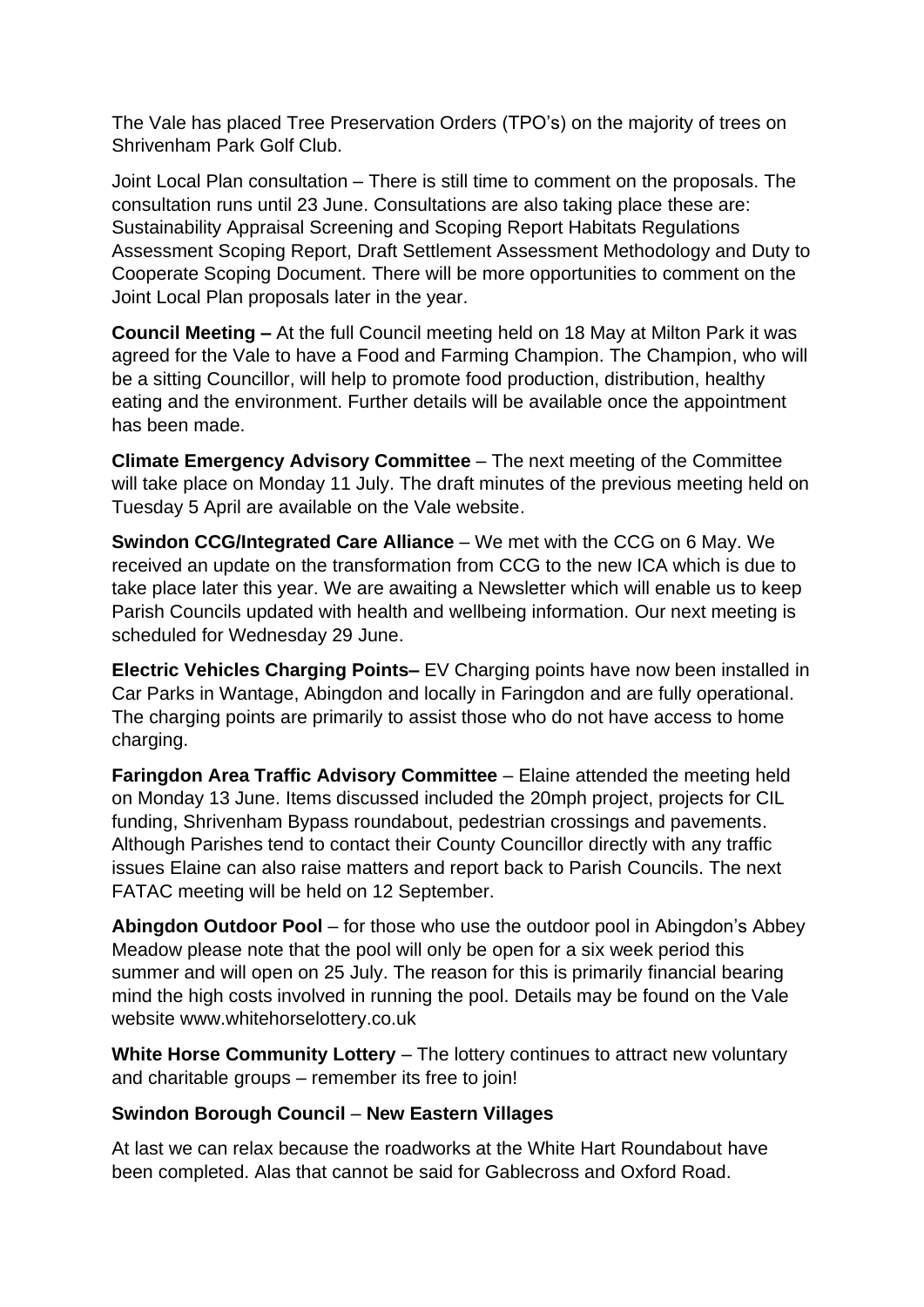The Vale has placed Tree Preservation Orders (TPO's) on the majority of trees on Shrivenham Park Golf Club.

Joint Local Plan consultation – There is still time to comment on the proposals. The consultation runs until 23 June. Consultations are also taking place these are: Sustainability Appraisal Screening and Scoping Report Habitats Regulations Assessment Scoping Report, Draft Settlement Assessment Methodology and Duty to Cooperate Scoping Document. There will be more opportunities to comment on the Joint Local Plan proposals later in the year.

**Council Meeting –** At the full Council meeting held on 18 May at Milton Park it was agreed for the Vale to have a Food and Farming Champion. The Champion, who will be a sitting Councillor, will help to promote food production, distribution, healthy eating and the environment. Further details will be available once the appointment has been made.

**Climate Emergency Advisory Committee** – The next meeting of the Committee will take place on Monday 11 July. The draft minutes of the previous meeting held on Tuesday 5 April are available on the Vale website.

**Swindon CCG/Integrated Care Alliance** – We met with the CCG on 6 May. We received an update on the transformation from CCG to the new ICA which is due to take place later this year. We are awaiting a Newsletter which will enable us to keep Parish Councils updated with health and wellbeing information. Our next meeting is scheduled for Wednesday 29 June.

**Electric Vehicles Charging Points–** EV Charging points have now been installed in Car Parks in Wantage, Abingdon and locally in Faringdon and are fully operational. The charging points are primarily to assist those who do not have access to home charging.

**Faringdon Area Traffic Advisory Committee** – Elaine attended the meeting held on Monday 13 June. Items discussed included the 20mph project, projects for CIL funding, Shrivenham Bypass roundabout, pedestrian crossings and pavements. Although Parishes tend to contact their County Councillor directly with any traffic issues Elaine can also raise matters and report back to Parish Councils. The next FATAC meeting will be held on 12 September.

**Abingdon Outdoor Pool** – for those who use the outdoor pool in Abingdon's Abbey Meadow please note that the pool will only be open for a six week period this summer and will open on 25 July. The reason for this is primarily financial bearing mind the high costs involved in running the pool. Details may be found on the Vale website www.whitehorselottery.co.uk

**White Horse Community Lottery** – The lottery continues to attract new voluntary and charitable groups – remember its free to join!

### **Swindon Borough Council** – **New Eastern Villages**

At last we can relax because the roadworks at the White Hart Roundabout have been completed. Alas that cannot be said for Gablecross and Oxford Road.